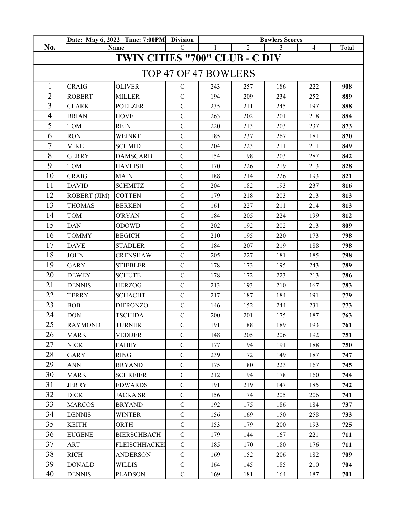|                                       | Date: May 6, 2022 Time: 7:00PM Division<br>Name |                      |                | <b>Bowlers Scores</b> |                |     |                |       |  |  |  |  |
|---------------------------------------|-------------------------------------------------|----------------------|----------------|-----------------------|----------------|-----|----------------|-------|--|--|--|--|
| No.                                   |                                                 |                      | $\mathcal{C}$  |                       | $\overline{2}$ | 3   | $\overline{4}$ | Total |  |  |  |  |
| <b>TWIN CITIES "700" CLUB - C DIV</b> |                                                 |                      |                |                       |                |     |                |       |  |  |  |  |
| TOP 47 OF 47 BOWLERS                  |                                                 |                      |                |                       |                |     |                |       |  |  |  |  |
| $\mathbf{1}$                          | <b>CRAIG</b>                                    | <b>OLIVER</b>        | $\mathcal{C}$  | 243                   | 257            | 186 | 222            | 908   |  |  |  |  |
| $\overline{2}$                        | <b>ROBERT</b>                                   | <b>MILLER</b>        | $\mathbf C$    | 194                   | 209            | 234 | 252            | 889   |  |  |  |  |
| $\overline{3}$                        | <b>CLARK</b>                                    | <b>POELZER</b>       | ${\bf C}$      | 235                   | 211            | 245 | 197            | 888   |  |  |  |  |
| $\overline{4}$                        | <b>BRIAN</b>                                    | <b>HOVE</b>          | $\mathbf C$    | 263                   | 202            | 201 | 218            | 884   |  |  |  |  |
| 5                                     | <b>TOM</b>                                      | <b>REIN</b>          | $\mathbf C$    | 220                   | 213            | 203 | 237            | 873   |  |  |  |  |
| 6                                     | <b>RON</b>                                      | <b>WEINKE</b>        | $\mathbf C$    | 185                   | 237            | 267 | 181            | 870   |  |  |  |  |
| $\overline{7}$                        | <b>MIKE</b>                                     | <b>SCHMID</b>        | $\mathbf C$    | 204                   | 223            | 211 | 211            | 849   |  |  |  |  |
| 8                                     | <b>GERRY</b>                                    | DAMSGARD             | $\overline{C}$ | 154                   | 198            | 203 | 287            | 842   |  |  |  |  |
| 9                                     | <b>TOM</b>                                      | <b>HAVLISH</b>       | ${\bf C}$      | 170                   | 226            | 219 | 213            | 828   |  |  |  |  |
| 10                                    | <b>CRAIG</b>                                    | <b>MAIN</b>          | $\mathbf C$    | 188                   | 214            | 226 | 193            | 821   |  |  |  |  |
| 11                                    | <b>DAVID</b>                                    | <b>SCHMITZ</b>       | $\mathbf C$    | 204                   | 182            | 193 | 237            | 816   |  |  |  |  |
| 12                                    | ROBERT (JIM)                                    | <b>COTTEN</b>        | $\mathbf C$    | 179                   | 218            | 203 | 213            | 813   |  |  |  |  |
| 13                                    | <b>THOMAS</b>                                   | <b>BERKEN</b>        | $\mathbf C$    | 161                   | 227            | 211 | 214            | 813   |  |  |  |  |
| 14                                    | <b>TOM</b>                                      | <b>O'RYAN</b>        | $\mathbf C$    | 184                   | 205            | 224 | 199            | 812   |  |  |  |  |
| 15                                    | <b>DAN</b>                                      | ODOWD                | $\mathbf C$    | 202                   | 192            | 202 | 213            | 809   |  |  |  |  |
| 16                                    | <b>TOMMY</b>                                    | BEGICH               | $\mathbf C$    | 210                   | 195            | 220 | 173            | 798   |  |  |  |  |
| 17                                    | <b>DAVE</b>                                     | <b>STADLER</b>       | $\mathbf C$    | 184                   | 207            | 219 | 188            | 798   |  |  |  |  |
| 18                                    | <b>JOHN</b>                                     | <b>CRENSHAW</b>      | $\mathbf C$    | 205                   | 227            | 181 | 185            | 798   |  |  |  |  |
| 19                                    | <b>GARY</b>                                     | <b>STIEBLER</b>      | $\overline{C}$ | 178                   | 173            | 195 | 243            | 789   |  |  |  |  |
| 20                                    | <b>DEWEY</b>                                    | <b>SCHUTE</b>        | $\mathbf C$    | 178                   | 172            | 223 | 213            | 786   |  |  |  |  |
| 21                                    | <b>DENNIS</b>                                   | <b>HERZOG</b>        | $\mathbf C$    | 213                   | 193            | 210 | 167            | 783   |  |  |  |  |
| 22                                    | <b>TERRY</b>                                    | <b>SCHACHT</b>       | $\mathbf C$    | 217                   | 187            | 184 | 191            | 779   |  |  |  |  |
| 23                                    | <b>BOB</b>                                      | <b>DIFRONZO</b>      | $\mathbf C$    | 146                   | 152            | 244 | 231            | 773   |  |  |  |  |
| 24                                    | <b>DON</b>                                      | <b>TSCHIDA</b>       | $\mathbf C$    | 200                   | 201            | 175 | 187            | 763   |  |  |  |  |
| 25                                    | <b>RAYMOND</b>                                  | <b>TURNER</b>        | $\mathbf C$    | 191                   | 188            | 189 | 193            | 761   |  |  |  |  |
| 26                                    | <b>MARK</b>                                     | <b>VEDDER</b>        | $\mathbf C$    | 148                   | 205            | 206 | 192            | 751   |  |  |  |  |
| 27                                    | <b>NICK</b>                                     | <b>FAHEY</b>         | $\mathbf C$    | 177                   | 194            | 191 | 188            | 750   |  |  |  |  |
| 28                                    | <b>GARY</b>                                     | <b>RING</b>          | $\mathbf C$    | 239                   | 172            | 149 | 187            | 747   |  |  |  |  |
| 29                                    | ANN                                             | <b>BRYAND</b>        | ${\bf C}$      | 175                   | 180            | 223 | 167            | 745   |  |  |  |  |
| 30                                    | <b>MARK</b>                                     | <b>SCHREIER</b>      | $\mathbf C$    | 212                   | 194            | 178 | 160            | 744   |  |  |  |  |
| 31                                    | JERRY                                           | <b>EDWARDS</b>       | $\mathbf C$    | 191                   | 219            | 147 | 185            | 742   |  |  |  |  |
| 32                                    | <b>DICK</b>                                     | <b>JACKA SR</b>      | $\mathbf C$    | 156                   | 174            | 205 | 206            | 741   |  |  |  |  |
| 33                                    | <b>MARCOS</b>                                   | <b>BRYAND</b>        | $\mathbf C$    | 192                   | 175            | 186 | 184            | 737   |  |  |  |  |
| 34                                    | <b>DENNIS</b>                                   | <b>WINTER</b>        | $\mathbf C$    | 156                   | 169            | 150 | 258            | 733   |  |  |  |  |
| 35                                    | <b>KEITH</b>                                    | ORTH                 | $\mathbf C$    | 153                   | 179            | 200 | 193            | 725   |  |  |  |  |
| 36                                    | <b>EUGENE</b>                                   | <b>BIERSCHBACH</b>   | $\mathbf C$    | 179                   | 144            | 167 | 221            | 711   |  |  |  |  |
| 37                                    | ART                                             | <b>FLEISCHHACKEI</b> | $\mathbf C$    | 185                   | 170            | 180 | 176            | 711   |  |  |  |  |
| 38                                    | <b>RICH</b>                                     | ANDERSON             | $\mathbf C$    | 169                   | 152            | 206 | 182            | 709   |  |  |  |  |
| 39                                    | <b>DONALD</b>                                   | <b>WILLIS</b>        | ${\bf C}$      | 164                   | 145            | 185 | 210            | 704   |  |  |  |  |
| 40                                    | <b>DENNIS</b>                                   | <b>PLADSON</b>       | $\mathbf C$    | 169                   | 181            | 164 | 187            | 701   |  |  |  |  |